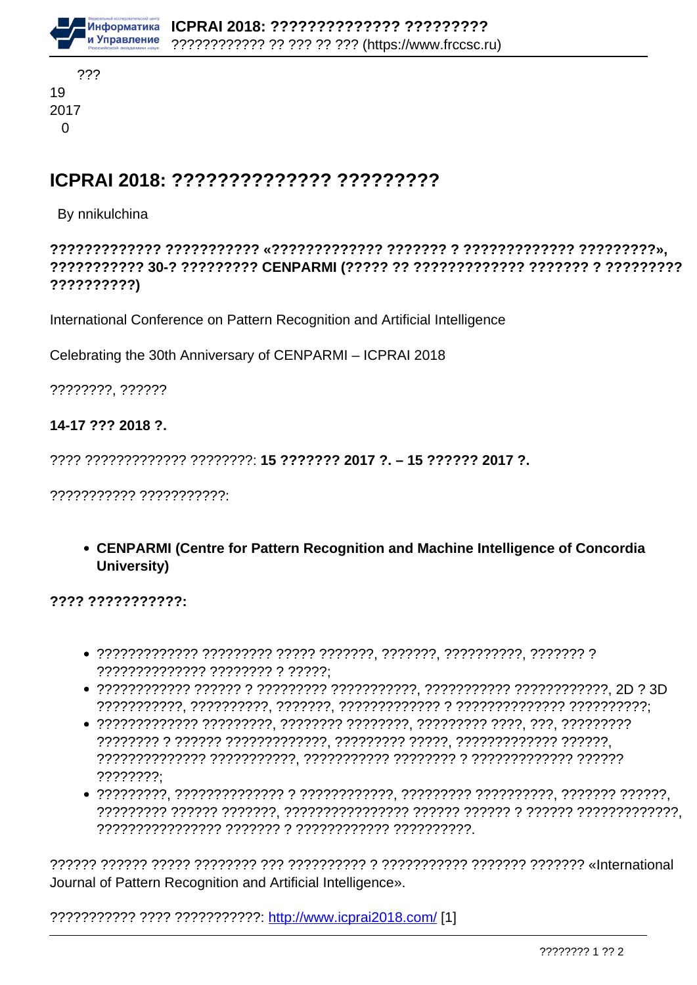

### ICPRAI 2018: ?????????????? ?????????

#### By nnikulchina

??????????)

International Conference on Pattern Recognition and Artificial Intelligence

Celebrating the 30th Anniversary of CENPARMI - ICPRAI 2018

????????. ??????

#### 14-17 ??? 2018 ?.

??????????? ???????????

• CENPARMI (Centre for Pattern Recognition and Machine Intelligence of Concordia University)

 $2222222222222$ 

- ?????????????? ???????? ? ?????:
- 
- $???????$
- 

Journal of Pattern Recognition and Artificial Intelligence».

??????????? ???? ??????????? http://www.icprai2018.com/ [1]